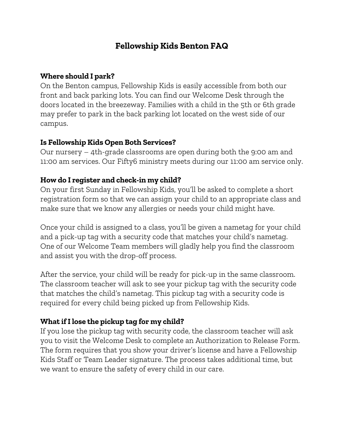# **Fellowship Kids Benton FAQ**

## **Where should I park?**

On the Benton campus, Fellowship Kids is easily accessible from both our front and back parking lots. You can find our Welcome Desk through the doors located in the breezeway. Families with a child in the 5th or 6th grade may prefer to park in the back parking lot located on the west side of our campus.

## **Is Fellowship Kids Open Both Services?**

Our nursery – 4th-grade classrooms are open during both the 9:00 am and 11:00 am services. Our Fifty6 ministry meets during our 11:00 am service only.

# **How do I register and check-in my child?**

On your first Sunday in Fellowship Kids, you'll be asked to complete a short registration form so that we can assign your child to an appropriate class and make sure that we know any allergies or needs your child might have.

Once your child is assigned to a class, you'll be given a nametag for your child and a pick-up tag with a security code that matches your child's nametag. One of our Welcome Team members will gladly help you find the classroom and assist you with the drop-off process.

After the service, your child will be ready for pick-up in the same classroom. The classroom teacher will ask to see your pickup tag with the security code that matches the child's nametag. This pickup tag with a security code is required for every child being picked up from Fellowship Kids.

# **What if I lose the pickup tag for my child?**

If you lose the pickup tag with security code, the classroom teacher will ask you to visit the Welcome Desk to complete an Authorization to Release Form. The form requires that you show your driver's license and have a Fellowship Kids Staff or Team Leader signature. The process takes additional time, but we want to ensure the safety of every child in our care.